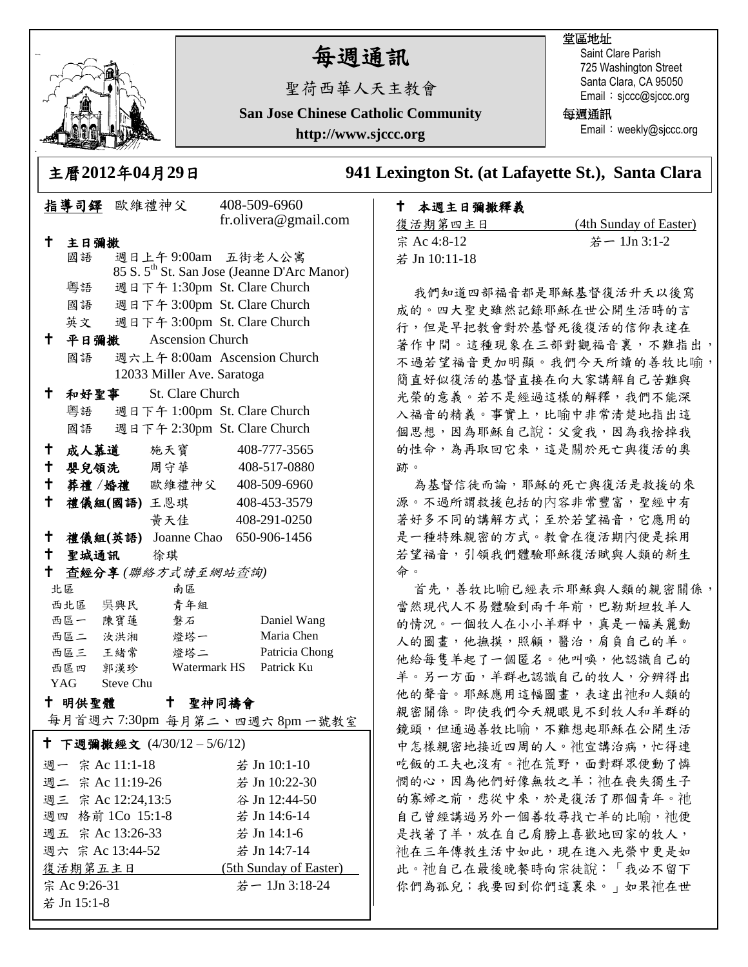

若 Jn 15:1-8

## 每週通訊

聖荷西華人天主教會

**San Jose Chinese Catholic Community**

**http://www.sjccc.org**

## 堂區地址

Saint Clare Parish 725 Washington Street Santa Clara, CA 95050 Email: sjccc@sjccc.org

每週通訊

Email: weekly@sjccc.org

主曆**2012**年**04**月**29**日 **941 Lexington St. (at Lafayette St.), Santa Clara** 

## 本週主日彌撒釋義

復活期第四主日 (4th Sunday of Easter) 宗 Ac 4:8-12 若一 1Jn 3:1-2 若 Jn 10:11-18

我們知道四部福音都是耶穌基督復活升天以後寫 成的。四大聖史雖然記錄耶穌在世公開生活時的言 行,但是早把教會對於基督死後復活的信仰表達在 著作中間。這種現象在三部對觀福音裏,不難指出, 不過若望福音更加明顯。我們今天所讀的善牧比喻, 簡直好似復活的基督直接在向大家講解自己苦難與 光榮的意義。若不是經過這樣的解釋,我們不能深 入福音的精義。事實上,比喻中非常清楚地指出這 個思想,因為耶穌自己說:父愛我,因為我捨掉我 的性命,為再取回它來,這是關於死亡與復活的奧 跡。

為基督信徒而論,耶穌的死亡與復活是救援的來 源。不過所謂救援包括的內容非常豐富,聖經中有 著好多不同的講解方式;至於若望福音,它應用的 是一種特殊親密的方式。教會在復活期內便是採用 若望福音,引領我們體驗耶穌復活賦與人類的新生 命。

首先, 善牧比喻已經表示耶穌與人類的親密關係, 當然現代人不易體驗到兩千年前,巴勒斯坦牧羊人 的情況。一個牧人在小小羊群中,真是一幅美麗動 人的圖畫,他撫摸,照顧,醫治,肩負自己的羊。 他給每隻羊起了一個匿名。他叫喚,他認識自己的 羊。另一方面,羊群也認識自己的牧人,分辨得出 他的聲音。耶穌應用這幅圖畫,表達出祂和人類的 親密關係。即使我們今天親眼見不到牧人和羊群的 鏡頭,但通過善牧比喻,不難想起耶穌在公開生活 中怎樣親密地接近四周的人。祂宣講治病,忙得連 吃飯的工夫也沒有。祂在荒野,面對群眾便動了憐 憫的心,因為他們好像無牧之羊;祂在喪失獨生子 的寡婦之前,悲從中來,於是復活了那個青年。祂 自己曾經講過另外一個善牧尋找亡羊的比喻,祂便 是找著了羊,放在自己肩膀上喜歡地回家的牧人, 祂在三年傳教生活中如此,現在進入光榮中更是如 此。祂自己在最後晚餐時向宗徒說:「我必不留下 你們為孤兒;我要回到你們這裏來。」如果祂在世

| エ/自 4014 干 07 刀 4ノ 14                           |                    |      |                                  |               |                                                         |  |  |
|-------------------------------------------------|--------------------|------|----------------------------------|---------------|---------------------------------------------------------|--|--|
| 指導司鐸 歐維禮神父                                      |                    |      |                                  |               | 408-509-6960                                            |  |  |
|                                                 |                    |      |                                  |               | fr.olivera@gmail.com                                    |  |  |
| $\mathsf{t}$                                    | 主日彌撒               |      |                                  |               |                                                         |  |  |
|                                                 | 國語                 |      | 週日上午9:00am 五街老人公寓                |               |                                                         |  |  |
|                                                 |                    |      |                                  |               | 85 S. 5 <sup>th</sup> St. San Jose (Jeanne D'Arc Manor) |  |  |
|                                                 | 粵語                 |      | 週日下午 1:30pm St. Clare Church     |               |                                                         |  |  |
|                                                 | 國語                 |      | 週日下午 3:00pm St. Clare Church     |               |                                                         |  |  |
|                                                 | 英文                 |      | 週日下午 3:00pm St. Clare Church     |               |                                                         |  |  |
| ↑.                                              |                    |      | 平日彌撒 Ascension Church            |               |                                                         |  |  |
|                                                 | 國語                 |      |                                  |               | 週六上午 8:00am Ascension Church                            |  |  |
| 12033 Miller Ave. Saratoga                      |                    |      |                                  |               |                                                         |  |  |
| $\mathsf{t}$                                    |                    | 和好聖事 | St. Clare Church                 |               |                                                         |  |  |
|                                                 | 粵語                 |      | 週日下午 1:00pm St. Clare Church     |               |                                                         |  |  |
|                                                 |                    |      | 國語 週日下午 2:30pm St. Clare Church  |               |                                                         |  |  |
|                                                 |                    |      | 十 成人慕道   施天寶                     |               | 408-777-3565                                            |  |  |
| $^{\dagger}$                                    |                    |      | 嬰兒領洗 周守華                         |               | 408-517-0880                                            |  |  |
|                                                 |                    |      | † 葬禮 /婚禮  歐維禮神父  408-509-6960    |               |                                                         |  |  |
|                                                 |                    |      | 十 禮儀組(國語) 王恩琪                    |               | 408-453-3579                                            |  |  |
|                                                 |                    |      | 黃天佳 408-291-0250                 |               |                                                         |  |  |
| $\mathsf{+}$                                    |                    |      | 禮儀組(英語) Joanne Chao 650-906-1456 |               |                                                         |  |  |
|                                                 | 十 聖城通訊 徐琪          |      |                                  |               |                                                         |  |  |
| $^\dagger$<br>查經分享(聯絡方式請至網站查詢)                  |                    |      |                                  |               |                                                         |  |  |
| 南區<br>北區                                        |                    |      |                                  |               |                                                         |  |  |
|                                                 | 西北區 吳興民            |      | 青年組                              |               |                                                         |  |  |
|                                                 | 西區一 陳寶蓮            |      | 磐石                               |               | Daniel Wang                                             |  |  |
|                                                 | 西區二 汝洪湘            |      | 燈塔一                              |               | Maria Chen                                              |  |  |
|                                                 |                    |      | 西區三 王緒常 燈塔二                      |               | Patricia Chong                                          |  |  |
|                                                 |                    |      | 西區四 郭漢珍 Watermark HS Patrick Ku  |               |                                                         |  |  |
| YAG Steve Chu                                   |                    |      |                                  |               |                                                         |  |  |
| † 明供聖體 │ † 聖神同禱會<br>每月首週六7:30pm 每月第二、四週六8pm一號教室 |                    |      |                                  |               |                                                         |  |  |
|                                                 |                    |      |                                  |               |                                                         |  |  |
|                                                 |                    |      | † 下週彌撒經文 (4/30/12-5/6/12)        |               |                                                         |  |  |
|                                                 | 週一 宗 Ac 11:1-18    |      |                                  |               | 若 Jn 10:1-10                                            |  |  |
|                                                 | 週二 宗 Ac 11:19-26   |      |                                  | 若 Jn 10:22-30 |                                                         |  |  |
|                                                 | 週三 宗 Ac 12:24,13:5 |      |                                  | 谷 Jn 12:44-50 |                                                         |  |  |
| 週四 格前 1Co 15:1-8<br>若 Jn 14:6-14                |                    |      |                                  |               |                                                         |  |  |
|                                                 | 週五 宗 Ac 13:26-33   |      |                                  | 若 Jn 14:1-6   |                                                         |  |  |
|                                                 | 週六 宗 Ac 13:44-52   |      |                                  | 若 Jn 14:7-14  |                                                         |  |  |
| (5th Sunday of Easter)<br>復活期第五主日               |                    |      |                                  |               |                                                         |  |  |
|                                                 | 宗 Ac 9:26-31       |      |                                  |               | 若一 1Jn 3:18-24                                          |  |  |